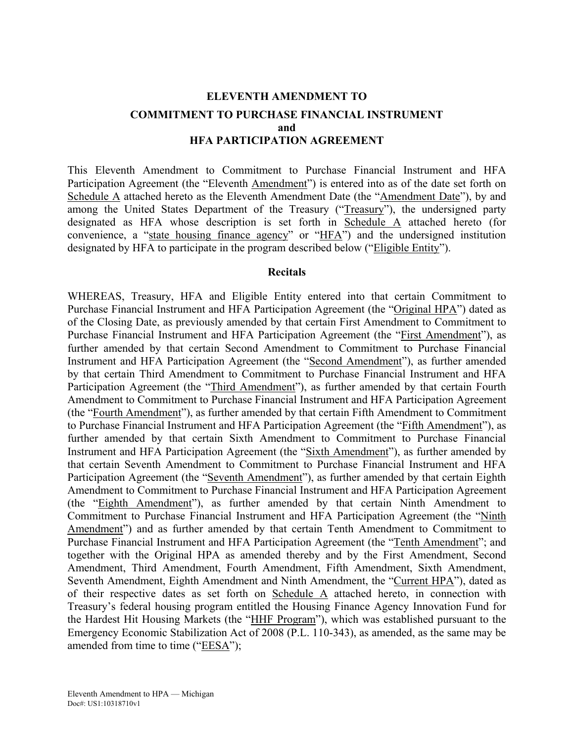## **ELEVENTH AMENDMENT TO COMMITMENT TO PURCHASE FINANCIAL INSTRUMENT and HFA PARTICIPATION AGREEMENT**

This Eleventh Amendment to Commitment to Purchase Financial Instrument and HFA Participation Agreement (the "Eleventh Amendment") is entered into as of the date set forth on Schedule A attached hereto as the Eleventh Amendment Date (the "Amendment Date"), by and among the United States Department of the Treasury ("Treasury"), the undersigned party designated as HFA whose description is set forth in Schedule A attached hereto (for convenience, a "state housing finance agency" or "HFA") and the undersigned institution designated by HFA to participate in the program described below ("Eligible Entity").

#### **Recitals**

WHEREAS, Treasury, HFA and Eligible Entity entered into that certain Commitment to Purchase Financial Instrument and HFA Participation Agreement (the "Original HPA") dated as of the Closing Date, as previously amended by that certain First Amendment to Commitment to Purchase Financial Instrument and HFA Participation Agreement (the "First Amendment"), as further amended by that certain Second Amendment to Commitment to Purchase Financial Instrument and HFA Participation Agreement (the "Second Amendment"), as further amended by that certain Third Amendment to Commitment to Purchase Financial Instrument and HFA Participation Agreement (the "Third Amendment"), as further amended by that certain Fourth Amendment to Commitment to Purchase Financial Instrument and HFA Participation Agreement (the "Fourth Amendment"), as further amended by that certain Fifth Amendment to Commitment to Purchase Financial Instrument and HFA Participation Agreement (the "Fifth Amendment"), as further amended by that certain Sixth Amendment to Commitment to Purchase Financial Instrument and HFA Participation Agreement (the "Sixth Amendment"), as further amended by that certain Seventh Amendment to Commitment to Purchase Financial Instrument and HFA Participation Agreement (the "Seventh Amendment"), as further amended by that certain Eighth Amendment to Commitment to Purchase Financial Instrument and HFA Participation Agreement (the "Eighth Amendment"), as further amended by that certain Ninth Amendment to Commitment to Purchase Financial Instrument and HFA Participation Agreement (the "Ninth Amendment") and as further amended by that certain Tenth Amendment to Commitment to Purchase Financial Instrument and HFA Participation Agreement (the "Tenth Amendment"; and together with the Original HPA as amended thereby and by the First Amendment, Second Amendment, Third Amendment, Fourth Amendment, Fifth Amendment, Sixth Amendment, Seventh Amendment, Eighth Amendment and Ninth Amendment, the "Current HPA"), dated as of their respective dates as set forth on Schedule A attached hereto, in connection with Treasury's federal housing program entitled the Housing Finance Agency Innovation Fund for the Hardest Hit Housing Markets (the "HHF Program"), which was established pursuant to the Emergency Economic Stabilization Act of 2008 (P.L. 110-343), as amended, as the same may be amended from time to time ("EESA");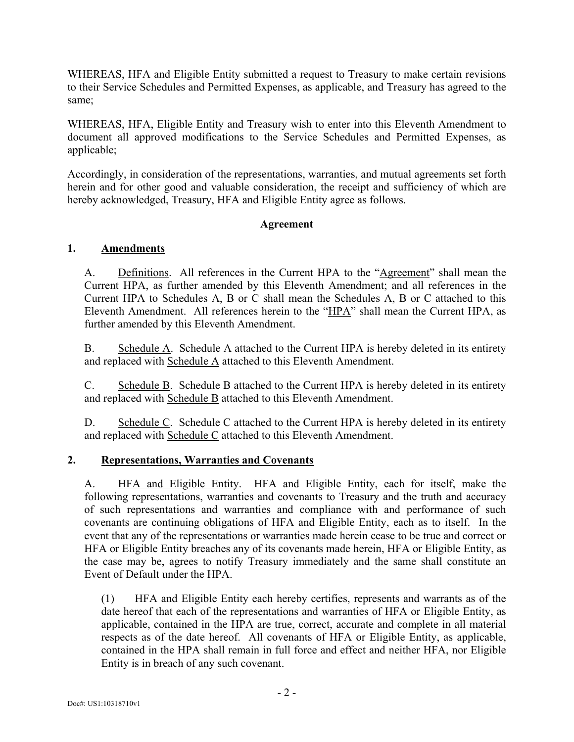WHEREAS, HFA and Eligible Entity submitted a request to Treasury to make certain revisions to their Service Schedules and Permitted Expenses, as applicable, and Treasury has agreed to the same;

WHEREAS, HFA, Eligible Entity and Treasury wish to enter into this Eleventh Amendment to document all approved modifications to the Service Schedules and Permitted Expenses, as applicable;

Accordingly, in consideration of the representations, warranties, and mutual agreements set forth herein and for other good and valuable consideration, the receipt and sufficiency of which are hereby acknowledged, Treasury, HFA and Eligible Entity agree as follows.

#### **Agreement**

#### **1. Amendments**

A. Definitions. All references in the Current HPA to the "Agreement" shall mean the Current HPA, as further amended by this Eleventh Amendment; and all references in the Current HPA to Schedules A, B or C shall mean the Schedules A, B or C attached to this Eleventh Amendment. All references herein to the "HPA" shall mean the Current HPA, as further amended by this Eleventh Amendment.

B. Schedule A. Schedule A attached to the Current HPA is hereby deleted in its entirety and replaced with Schedule A attached to this Eleventh Amendment.

C. Schedule B. Schedule B attached to the Current HPA is hereby deleted in its entirety and replaced with Schedule B attached to this Eleventh Amendment.

D. Schedule C. Schedule C attached to the Current HPA is hereby deleted in its entirety and replaced with Schedule C attached to this Eleventh Amendment.

#### **2. Representations, Warranties and Covenants**

A. HFA and Eligible Entity. HFA and Eligible Entity, each for itself, make the following representations, warranties and covenants to Treasury and the truth and accuracy of such representations and warranties and compliance with and performance of such covenants are continuing obligations of HFA and Eligible Entity, each as to itself. In the event that any of the representations or warranties made herein cease to be true and correct or HFA or Eligible Entity breaches any of its covenants made herein, HFA or Eligible Entity, as the case may be, agrees to notify Treasury immediately and the same shall constitute an Event of Default under the HPA.

(1) HFA and Eligible Entity each hereby certifies, represents and warrants as of the date hereof that each of the representations and warranties of HFA or Eligible Entity, as applicable, contained in the HPA are true, correct, accurate and complete in all material respects as of the date hereof. All covenants of HFA or Eligible Entity, as applicable, contained in the HPA shall remain in full force and effect and neither HFA, nor Eligible Entity is in breach of any such covenant.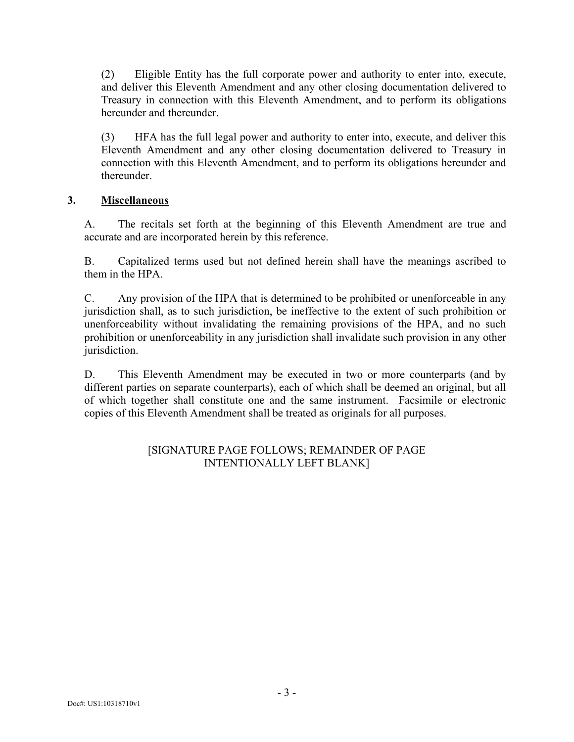(2) Eligible Entity has the full corporate power and authority to enter into, execute, and deliver this Eleventh Amendment and any other closing documentation delivered to Treasury in connection with this Eleventh Amendment, and to perform its obligations hereunder and thereunder.

(3) HFA has the full legal power and authority to enter into, execute, and deliver this Eleventh Amendment and any other closing documentation delivered to Treasury in connection with this Eleventh Amendment, and to perform its obligations hereunder and thereunder.

#### **3. Miscellaneous**

A. The recitals set forth at the beginning of this Eleventh Amendment are true and accurate and are incorporated herein by this reference.

B. Capitalized terms used but not defined herein shall have the meanings ascribed to them in the HPA.

C. Any provision of the HPA that is determined to be prohibited or unenforceable in any jurisdiction shall, as to such jurisdiction, be ineffective to the extent of such prohibition or unenforceability without invalidating the remaining provisions of the HPA, and no such prohibition or unenforceability in any jurisdiction shall invalidate such provision in any other jurisdiction.

D. This Eleventh Amendment may be executed in two or more counterparts (and by different parties on separate counterparts), each of which shall be deemed an original, but all of which together shall constitute one and the same instrument. Facsimile or electronic copies of this Eleventh Amendment shall be treated as originals for all purposes.

#### [SIGNATURE PAGE FOLLOWS; REMAINDER OF PAGE INTENTIONALLY LEFT BLANK]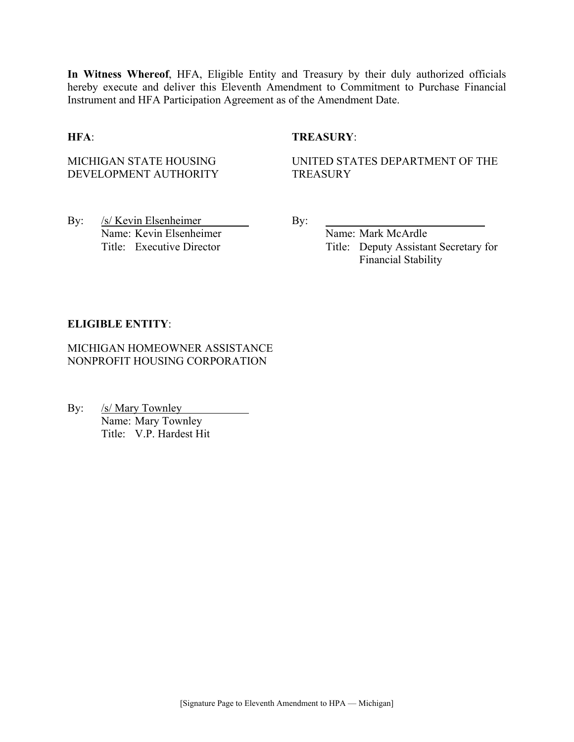**In Witness Whereof**, HFA, Eligible Entity and Treasury by their duly authorized officials hereby execute and deliver this Eleventh Amendment to Commitment to Purchase Financial Instrument and HFA Participation Agreement as of the Amendment Date.

#### **HFA**: **TREASURY**:

MICHIGAN STATE HOUSING DEVELOPMENT AUTHORITY UNITED STATES DEPARTMENT OF THE **TREASURY** 

By: /s/ Kevin Elsenheimer By: Name: Kevin Elsenheimer Name: Mark McArdle

Title: Executive Director Title: Deputy Assistant Secretary for Financial Stability

#### **ELIGIBLE ENTITY**:

MICHIGAN HOMEOWNER ASSISTANCE NONPROFIT HOUSING CORPORATION

By: /s/ Mary Townley Name: Mary Townley Title: V.P. Hardest Hit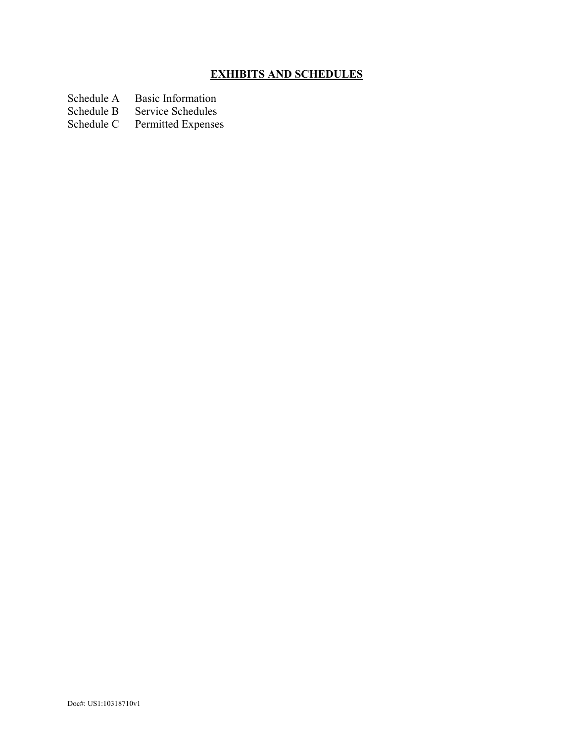## **EXHIBITS AND SCHEDULES**

- Schedule A Basic Information<br>Schedule B Service Schedules
- Schedule B Service Schedules<br>Schedule C Permitted Expenses
- Permitted Expenses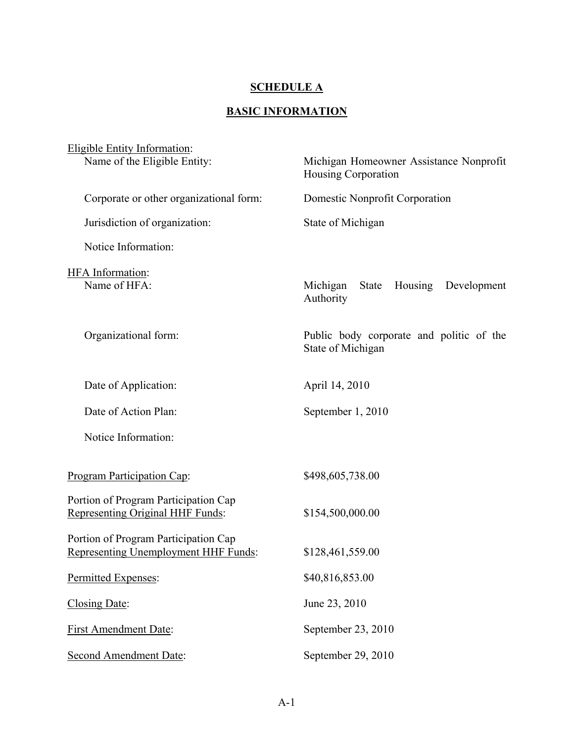## **SCHEDULE A**

## **BASIC INFORMATION**

| <b>Eligible Entity Information:</b>                                          |                                                                 |
|------------------------------------------------------------------------------|-----------------------------------------------------------------|
| Name of the Eligible Entity:                                                 | Michigan Homeowner Assistance Nonprofit<br>Housing Corporation  |
| Corporate or other organizational form:                                      | Domestic Nonprofit Corporation                                  |
| Jurisdiction of organization:                                                | State of Michigan                                               |
| Notice Information:                                                          |                                                                 |
| HFA Information:<br>Name of HFA:                                             | Michigan<br><b>State</b><br>Housing<br>Development<br>Authority |
| Organizational form:                                                         | Public body corporate and politic of the<br>State of Michigan   |
| Date of Application:                                                         | April 14, 2010                                                  |
| Date of Action Plan:                                                         | September 1, 2010                                               |
| Notice Information:                                                          |                                                                 |
| Program Participation Cap:                                                   | \$498,605,738.00                                                |
| Portion of Program Participation Cap<br>Representing Original HHF Funds:     | \$154,500,000.00                                                |
| Portion of Program Participation Cap<br>Representing Unemployment HHF Funds: | \$128,461,559.00                                                |
| Permitted Expenses:                                                          | \$40,816,853.00                                                 |
| Closing Date:                                                                | June 23, 2010                                                   |
| <b>First Amendment Date:</b>                                                 | September 23, 2010                                              |
| <b>Second Amendment Date:</b>                                                | September 29, 2010                                              |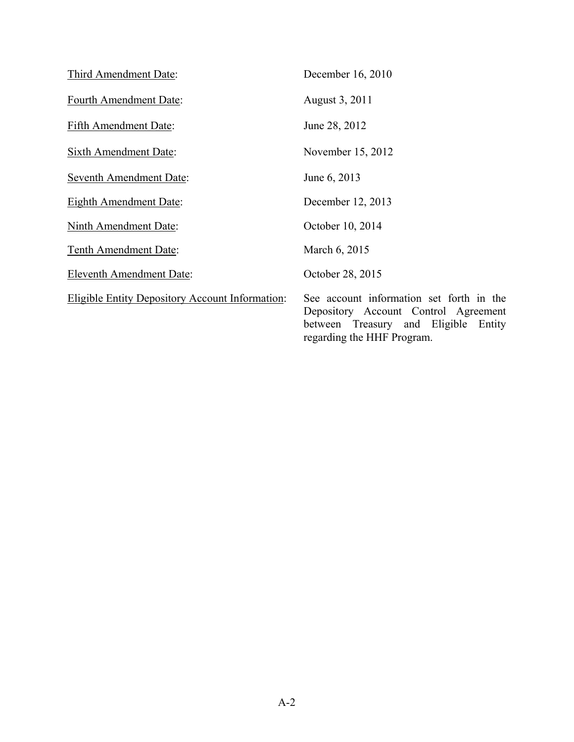| Third Amendment Date:                                  | December 16, 2010                                                                                                                                      |
|--------------------------------------------------------|--------------------------------------------------------------------------------------------------------------------------------------------------------|
| <b>Fourth Amendment Date:</b>                          | August 3, 2011                                                                                                                                         |
| Fifth Amendment Date:                                  | June 28, 2012                                                                                                                                          |
| <b>Sixth Amendment Date:</b>                           | November 15, 2012                                                                                                                                      |
| <b>Seventh Amendment Date:</b>                         | June 6, 2013                                                                                                                                           |
| <b>Eighth Amendment Date:</b>                          | December 12, 2013                                                                                                                                      |
| Ninth Amendment Date:                                  | October 10, 2014                                                                                                                                       |
| Tenth Amendment Date:                                  | March 6, 2015                                                                                                                                          |
| <b>Eleventh Amendment Date:</b>                        | October 28, 2015                                                                                                                                       |
| <b>Eligible Entity Depository Account Information:</b> | See account information set forth in the<br>Depository Account Control Agreement<br>between Treasury and Eligible Entity<br>regarding the HHF Program. |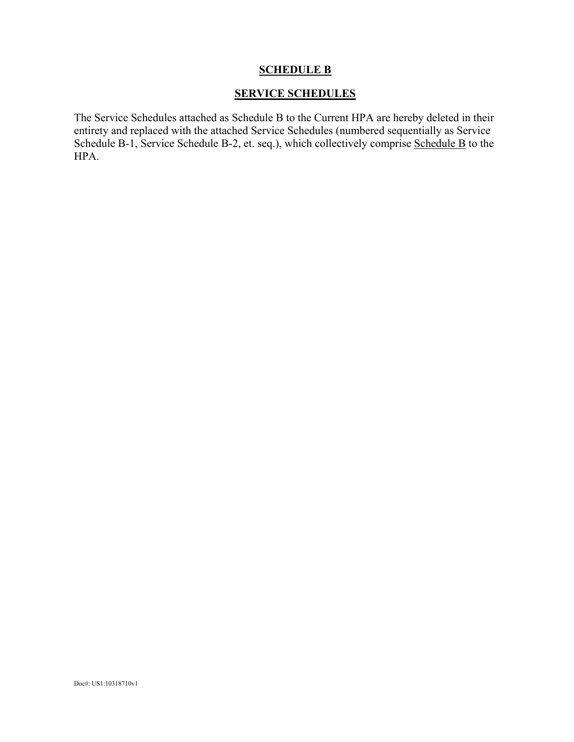#### **SCHEDULE B**

#### **SERVICE SCHEDULES**

The Service Schedules attached as Schedule B to the Current HPA are hereby deleted in their entirety and replaced with the attached Service Schedules (numbered sequentially as Service Schedule B-1, Service Schedule B-2, et. seq.), which collectively comprise Schedule B to the HPA.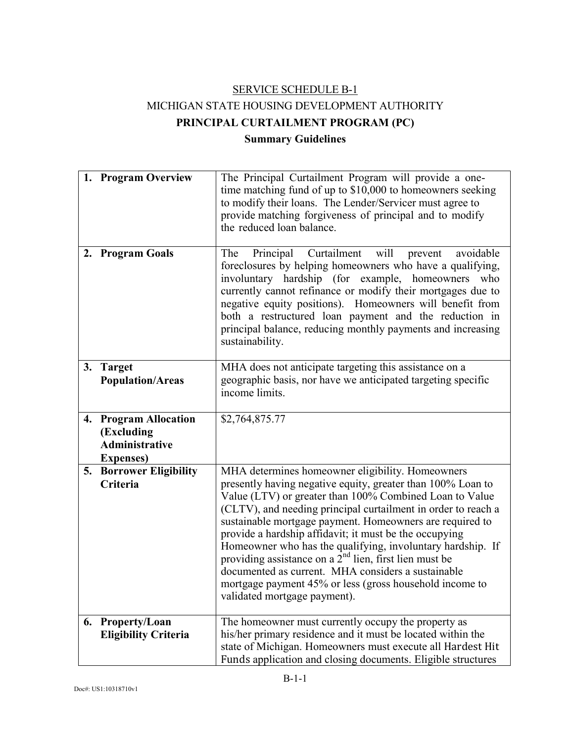# SERVICE SCHEDULE B-1 MICHIGAN STATE HOUSING DEVELOPMENT AUTHORITY **PRINCIPAL CURTAILMENT PROGRAM (PC) Summary Guidelines**

|    | 1. Program Overview                                                               | The Principal Curtailment Program will provide a one-<br>time matching fund of up to \$10,000 to homeowners seeking<br>to modify their loans. The Lender/Servicer must agree to<br>provide matching forgiveness of principal and to modify<br>the reduced loan balance.                                                                                                                                                                                                                                                                                                                                                                      |
|----|-----------------------------------------------------------------------------------|----------------------------------------------------------------------------------------------------------------------------------------------------------------------------------------------------------------------------------------------------------------------------------------------------------------------------------------------------------------------------------------------------------------------------------------------------------------------------------------------------------------------------------------------------------------------------------------------------------------------------------------------|
|    | 2. Program Goals                                                                  | Principal Curtailment will<br>avoidable<br>The<br>prevent<br>foreclosures by helping homeowners who have a qualifying,<br>involuntary hardship (for example, homeowners<br>who<br>currently cannot refinance or modify their mortgages due to<br>negative equity positions). Homeowners will benefit from<br>both a restructured loan payment and the reduction in<br>principal balance, reducing monthly payments and increasing<br>sustainability.                                                                                                                                                                                         |
| 3. | <b>Target</b><br><b>Population/Areas</b>                                          | MHA does not anticipate targeting this assistance on a<br>geographic basis, nor have we anticipated targeting specific<br>income limits.                                                                                                                                                                                                                                                                                                                                                                                                                                                                                                     |
|    | 4. Program Allocation<br>(Excluding<br><b>Administrative</b><br><b>Expenses</b> ) | \$2,764,875.77                                                                                                                                                                                                                                                                                                                                                                                                                                                                                                                                                                                                                               |
| 5. | <b>Borrower Eligibility</b><br>Criteria                                           | MHA determines homeowner eligibility. Homeowners<br>presently having negative equity, greater than 100% Loan to<br>Value (LTV) or greater than 100% Combined Loan to Value<br>(CLTV), and needing principal curtailment in order to reach a<br>sustainable mortgage payment. Homeowners are required to<br>provide a hardship affidavit; it must be the occupying<br>Homeowner who has the qualifying, involuntary hardship. If<br>providing assistance on a $2nd$ lien, first lien must be<br>documented as current. MHA considers a sustainable<br>mortgage payment 45% or less (gross household income to<br>validated mortgage payment). |
|    | 6. Property/Loan<br><b>Eligibility Criteria</b>                                   | The homeowner must currently occupy the property as<br>his/her primary residence and it must be located within the<br>state of Michigan. Homeowners must execute all Hardest Hit<br>Funds application and closing documents. Eligible structures                                                                                                                                                                                                                                                                                                                                                                                             |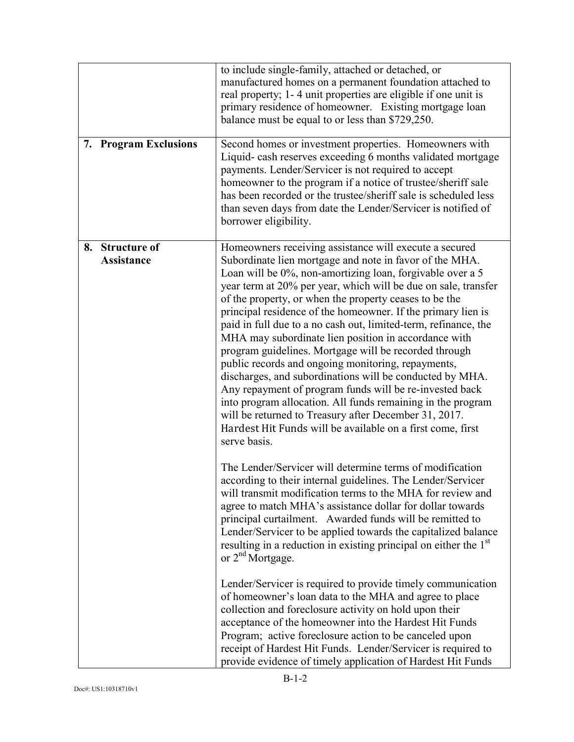| 7. Program Exclusions                | to include single-family, attached or detached, or<br>manufactured homes on a permanent foundation attached to<br>real property; 1-4 unit properties are eligible if one unit is<br>primary residence of homeowner. Existing mortgage loan<br>balance must be equal to or less than \$729,250.<br>Second homes or investment properties. Homeowners with<br>Liquid-cash reserves exceeding 6 months validated mortgage<br>payments. Lender/Servicer is not required to accept<br>homeowner to the program if a notice of trustee/sheriff sale<br>has been recorded or the trustee/sheriff sale is scheduled less<br>than seven days from date the Lender/Servicer is notified of<br>borrower eligibility.                                                                                                                                                                                                                                         |
|--------------------------------------|---------------------------------------------------------------------------------------------------------------------------------------------------------------------------------------------------------------------------------------------------------------------------------------------------------------------------------------------------------------------------------------------------------------------------------------------------------------------------------------------------------------------------------------------------------------------------------------------------------------------------------------------------------------------------------------------------------------------------------------------------------------------------------------------------------------------------------------------------------------------------------------------------------------------------------------------------|
| 8. Structure of<br><b>Assistance</b> | Homeowners receiving assistance will execute a secured<br>Subordinate lien mortgage and note in favor of the MHA.<br>Loan will be 0%, non-amortizing loan, forgivable over a 5<br>year term at 20% per year, which will be due on sale, transfer<br>of the property, or when the property ceases to be the<br>principal residence of the homeowner. If the primary lien is<br>paid in full due to a no cash out, limited-term, refinance, the<br>MHA may subordinate lien position in accordance with<br>program guidelines. Mortgage will be recorded through<br>public records and ongoing monitoring, repayments,<br>discharges, and subordinations will be conducted by MHA.<br>Any repayment of program funds will be re-invested back<br>into program allocation. All funds remaining in the program<br>will be returned to Treasury after December 31, 2017.<br>Hardest Hit Funds will be available on a first come, first<br>serve basis. |
|                                      | The Lender/Servicer will determine terms of modification<br>according to their internal guidelines. The Lender/Servicer<br>will transmit modification terms to the MHA for review and<br>agree to match MHA's assistance dollar for dollar towards<br>principal curtailment. Awarded funds will be remitted to<br>Lender/Servicer to be applied towards the capitalized balance<br>resulting in a reduction in existing principal on either the 1 <sup>st</sup><br>or 2 <sup>nd</sup> Mortgage.<br>Lender/Servicer is required to provide timely communication                                                                                                                                                                                                                                                                                                                                                                                    |
|                                      | of homeowner's loan data to the MHA and agree to place<br>collection and foreclosure activity on hold upon their<br>acceptance of the homeowner into the Hardest Hit Funds<br>Program; active foreclosure action to be canceled upon<br>receipt of Hardest Hit Funds. Lender/Servicer is required to<br>provide evidence of timely application of Hardest Hit Funds                                                                                                                                                                                                                                                                                                                                                                                                                                                                                                                                                                               |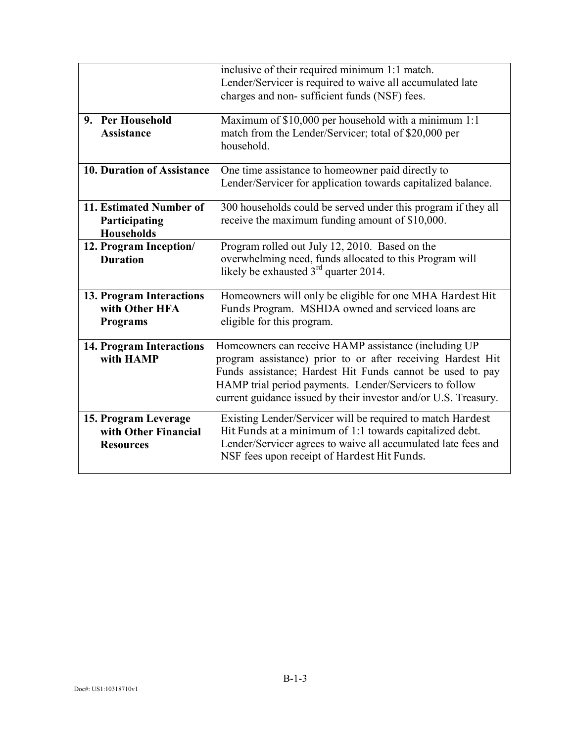|                                                                  | inclusive of their required minimum 1:1 match.<br>Lender/Servicer is required to waive all accumulated late<br>charges and non-sufficient funds (NSF) fees.                                                                                                                                                   |
|------------------------------------------------------------------|---------------------------------------------------------------------------------------------------------------------------------------------------------------------------------------------------------------------------------------------------------------------------------------------------------------|
| 9. Per Household<br><b>Assistance</b>                            | Maximum of \$10,000 per household with a minimum 1:1<br>match from the Lender/Servicer; total of \$20,000 per<br>household.                                                                                                                                                                                   |
| <b>10. Duration of Assistance</b>                                | One time assistance to homeowner paid directly to<br>Lender/Servicer for application towards capitalized balance.                                                                                                                                                                                             |
| 11. Estimated Number of<br>Participating<br><b>Households</b>    | 300 households could be served under this program if they all<br>receive the maximum funding amount of \$10,000.                                                                                                                                                                                              |
| 12. Program Inception/<br><b>Duration</b>                        | Program rolled out July 12, 2010. Based on the<br>overwhelming need, funds allocated to this Program will<br>likely be exhausted $3rd$ quarter 2014.                                                                                                                                                          |
| 13. Program Interactions<br>with Other HFA<br><b>Programs</b>    | Homeowners will only be eligible for one MHA Hardest Hit<br>Funds Program. MSHDA owned and serviced loans are<br>eligible for this program.                                                                                                                                                                   |
| <b>14. Program Interactions</b><br>with HAMP                     | Homeowners can receive HAMP assistance (including UP<br>program assistance) prior to or after receiving Hardest Hit<br>Funds assistance; Hardest Hit Funds cannot be used to pay<br>HAMP trial period payments. Lender/Servicers to follow<br>current guidance issued by their investor and/or U.S. Treasury. |
| 15. Program Leverage<br>with Other Financial<br><b>Resources</b> | Existing Lender/Servicer will be required to match Hardest<br>Hit Funds at a minimum of 1:1 towards capitalized debt.<br>Lender/Servicer agrees to waive all accumulated late fees and<br>NSF fees upon receipt of Hardest Hit Funds.                                                                         |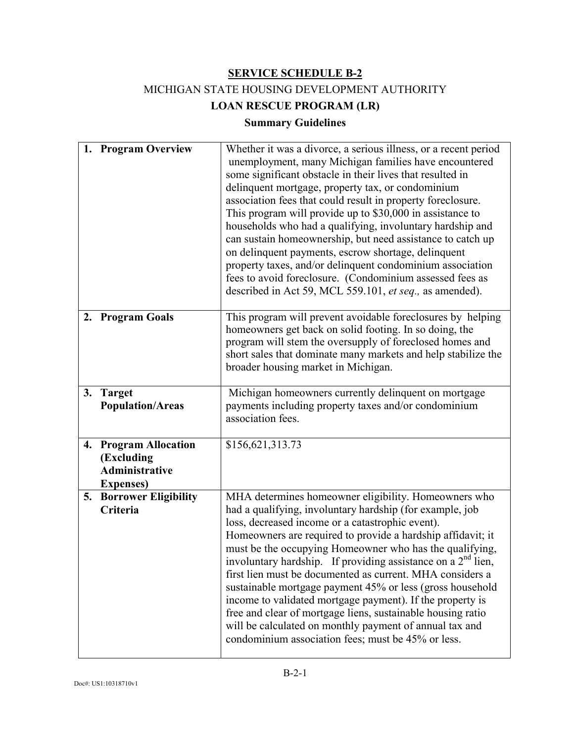# MICHIGAN STATE HOUSING DEVELOPMENT AUTHORITY

**LOAN RESCUE PROGRAM (LR)** 

## **Summary Guidelines**

|    | 1. Program Overview                                                               | Whether it was a divorce, a serious illness, or a recent period<br>unemployment, many Michigan families have encountered<br>some significant obstacle in their lives that resulted in<br>delinquent mortgage, property tax, or condominium<br>association fees that could result in property foreclosure.<br>This program will provide up to \$30,000 in assistance to<br>households who had a qualifying, involuntary hardship and<br>can sustain homeownership, but need assistance to catch up<br>on delinquent payments, escrow shortage, delinquent<br>property taxes, and/or delinquent condominium association<br>fees to avoid foreclosure. (Condominium assessed fees as<br>described in Act 59, MCL 559.101, et seq., as amended). |
|----|-----------------------------------------------------------------------------------|----------------------------------------------------------------------------------------------------------------------------------------------------------------------------------------------------------------------------------------------------------------------------------------------------------------------------------------------------------------------------------------------------------------------------------------------------------------------------------------------------------------------------------------------------------------------------------------------------------------------------------------------------------------------------------------------------------------------------------------------|
|    | 2. Program Goals                                                                  | This program will prevent avoidable foreclosures by helping<br>homeowners get back on solid footing. In so doing, the<br>program will stem the oversupply of foreclosed homes and<br>short sales that dominate many markets and help stabilize the<br>broader housing market in Michigan.                                                                                                                                                                                                                                                                                                                                                                                                                                                    |
| 3. | <b>Target</b><br><b>Population/Areas</b>                                          | Michigan homeowners currently delinquent on mortgage<br>payments including property taxes and/or condominium<br>association fees.                                                                                                                                                                                                                                                                                                                                                                                                                                                                                                                                                                                                            |
|    | 4. Program Allocation<br>(Excluding<br><b>Administrative</b><br><b>Expenses</b> ) | \$156,621,313.73                                                                                                                                                                                                                                                                                                                                                                                                                                                                                                                                                                                                                                                                                                                             |
| 5. | <b>Borrower Eligibility</b><br>Criteria                                           | MHA determines homeowner eligibility. Homeowners who<br>had a qualifying, involuntary hardship (for example, job<br>loss, decreased income or a catastrophic event).<br>Homeowners are required to provide a hardship affidavit; it<br>must be the occupying Homeowner who has the qualifying,<br>involuntary hardship. If providing assistance on a $2nd$ lien,<br>first lien must be documented as current. MHA considers a<br>sustainable mortgage payment 45% or less (gross household<br>income to validated mortgage payment). If the property is<br>free and clear of mortgage liens, sustainable housing ratio<br>will be calculated on monthly payment of annual tax and<br>condominium association fees; must be 45% or less.      |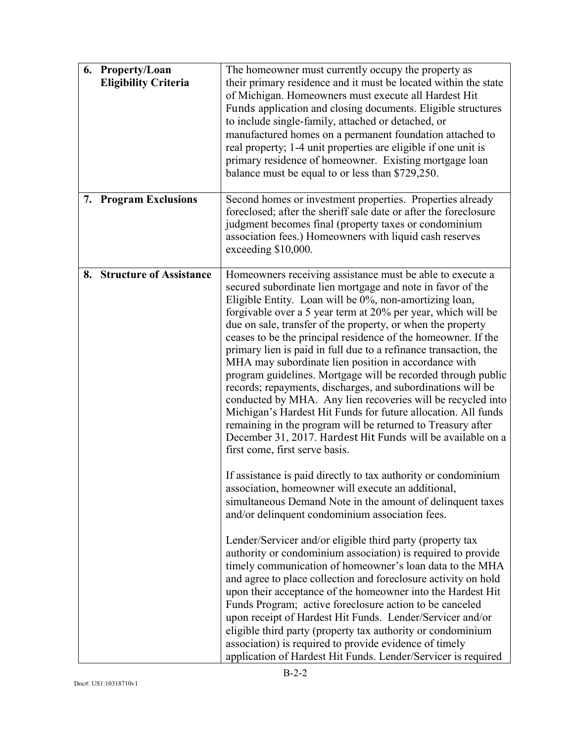|    | 6. Property/Loan<br><b>Eligibility Criteria</b> | The homeowner must currently occupy the property as<br>their primary residence and it must be located within the state<br>of Michigan. Homeowners must execute all Hardest Hit<br>Funds application and closing documents. Eligible structures<br>to include single-family, attached or detached, or<br>manufactured homes on a permanent foundation attached to<br>real property; 1-4 unit properties are eligible if one unit is<br>primary residence of homeowner. Existing mortgage loan<br>balance must be equal to or less than \$729,250.                                                                                                                                                                                                                                                                                                                                                                                             |
|----|-------------------------------------------------|----------------------------------------------------------------------------------------------------------------------------------------------------------------------------------------------------------------------------------------------------------------------------------------------------------------------------------------------------------------------------------------------------------------------------------------------------------------------------------------------------------------------------------------------------------------------------------------------------------------------------------------------------------------------------------------------------------------------------------------------------------------------------------------------------------------------------------------------------------------------------------------------------------------------------------------------|
|    | 7. Program Exclusions                           | Second homes or investment properties. Properties already<br>foreclosed; after the sheriff sale date or after the foreclosure<br>judgment becomes final (property taxes or condominium<br>association fees.) Homeowners with liquid cash reserves<br>exceeding \$10,000.                                                                                                                                                                                                                                                                                                                                                                                                                                                                                                                                                                                                                                                                     |
| 8. | <b>Structure of Assistance</b>                  | Homeowners receiving assistance must be able to execute a<br>secured subordinate lien mortgage and note in favor of the<br>Eligible Entity. Loan will be 0%, non-amortizing loan,<br>forgivable over a 5 year term at 20% per year, which will be<br>due on sale, transfer of the property, or when the property<br>ceases to be the principal residence of the homeowner. If the<br>primary lien is paid in full due to a refinance transaction, the<br>MHA may subordinate lien position in accordance with<br>program guidelines. Mortgage will be recorded through public<br>records; repayments, discharges, and subordinations will be<br>conducted by MHA. Any lien recoveries will be recycled into<br>Michigan's Hardest Hit Funds for future allocation. All funds<br>remaining in the program will be returned to Treasury after<br>December 31, 2017. Hardest Hit Funds will be available on a<br>first come, first serve basis. |
|    |                                                 | If assistance is paid directly to tax authority or condominium<br>association, homeowner will execute an additional,<br>simultaneous Demand Note in the amount of delinquent taxes<br>and/or delinquent condominium association fees.                                                                                                                                                                                                                                                                                                                                                                                                                                                                                                                                                                                                                                                                                                        |
|    |                                                 | Lender/Servicer and/or eligible third party (property tax<br>authority or condominium association) is required to provide<br>timely communication of homeowner's loan data to the MHA<br>and agree to place collection and foreclosure activity on hold<br>upon their acceptance of the homeowner into the Hardest Hit<br>Funds Program; active foreclosure action to be canceled<br>upon receipt of Hardest Hit Funds. Lender/Servicer and/or<br>eligible third party (property tax authority or condominium<br>association) is required to provide evidence of timely<br>application of Hardest Hit Funds. Lender/Servicer is required                                                                                                                                                                                                                                                                                                     |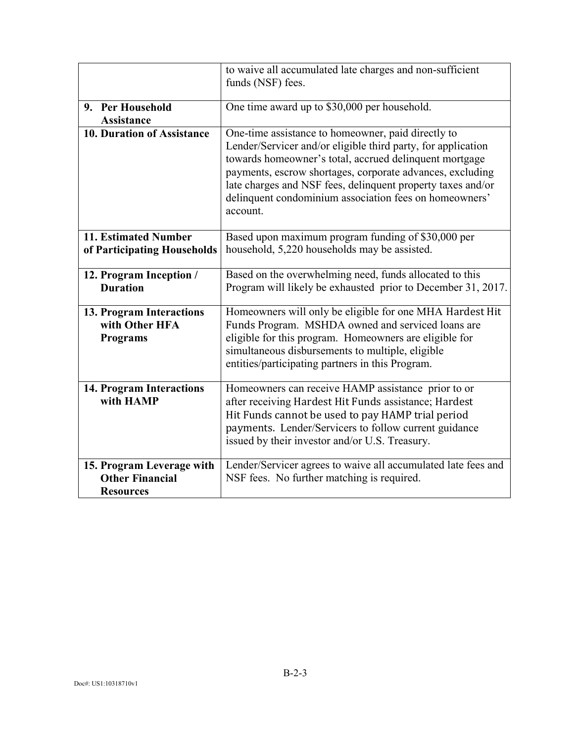|                                                                         | to waive all accumulated late charges and non-sufficient<br>funds (NSF) fees.                                                                                                                                                                                                                                                                                                  |
|-------------------------------------------------------------------------|--------------------------------------------------------------------------------------------------------------------------------------------------------------------------------------------------------------------------------------------------------------------------------------------------------------------------------------------------------------------------------|
|                                                                         |                                                                                                                                                                                                                                                                                                                                                                                |
| 9. Per Household                                                        | One time award up to \$30,000 per household.                                                                                                                                                                                                                                                                                                                                   |
| <b>Assistance</b>                                                       |                                                                                                                                                                                                                                                                                                                                                                                |
| <b>10. Duration of Assistance</b>                                       | One-time assistance to homeowner, paid directly to<br>Lender/Servicer and/or eligible third party, for application<br>towards homeowner's total, accrued delinquent mortgage<br>payments, escrow shortages, corporate advances, excluding<br>late charges and NSF fees, delinquent property taxes and/or<br>delinquent condominium association fees on homeowners'<br>account. |
| 11. Estimated Number<br>of Participating Households                     | Based upon maximum program funding of \$30,000 per<br>household, 5,220 households may be assisted.                                                                                                                                                                                                                                                                             |
| 12. Program Inception /<br><b>Duration</b>                              | Based on the overwhelming need, funds allocated to this<br>Program will likely be exhausted prior to December 31, 2017.                                                                                                                                                                                                                                                        |
| 13. Program Interactions<br>with Other HFA<br><b>Programs</b>           | Homeowners will only be eligible for one MHA Hardest Hit<br>Funds Program. MSHDA owned and serviced loans are<br>eligible for this program. Homeowners are eligible for<br>simultaneous disbursements to multiple, eligible<br>entities/participating partners in this Program.                                                                                                |
| <b>14. Program Interactions</b><br>with HAMP                            | Homeowners can receive HAMP assistance prior to or<br>after receiving Hardest Hit Funds assistance; Hardest<br>Hit Funds cannot be used to pay HAMP trial period<br>payments. Lender/Servicers to follow current guidance<br>issued by their investor and/or U.S. Treasury.                                                                                                    |
| 15. Program Leverage with<br><b>Other Financial</b><br><b>Resources</b> | Lender/Servicer agrees to waive all accumulated late fees and<br>NSF fees. No further matching is required.                                                                                                                                                                                                                                                                    |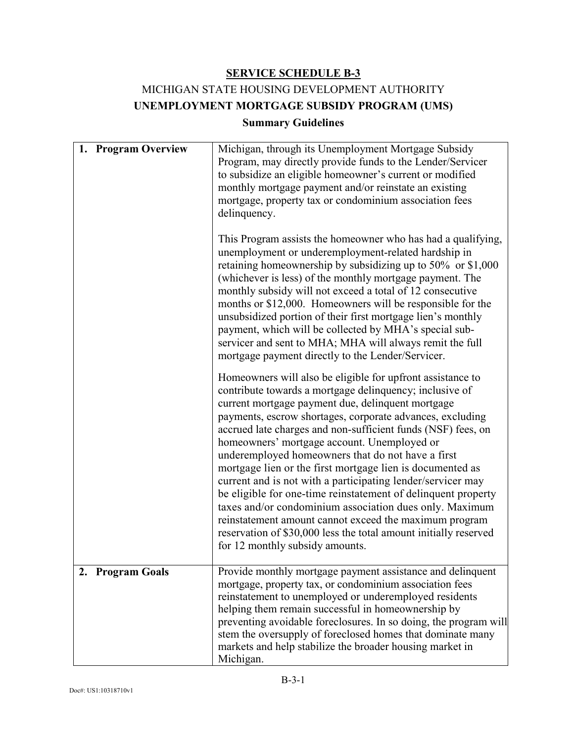# MICHIGAN STATE HOUSING DEVELOPMENT AUTHORITY **UNEMPLOYMENT MORTGAGE SUBSIDY PROGRAM (UMS)**

#### **Summary Guidelines**

| 1. Program Overview | Michigan, through its Unemployment Mortgage Subsidy<br>Program, may directly provide funds to the Lender/Servicer<br>to subsidize an eligible homeowner's current or modified<br>monthly mortgage payment and/or reinstate an existing<br>mortgage, property tax or condominium association fees<br>delinquency.<br>This Program assists the homeowner who has had a qualifying,<br>unemployment or underemployment-related hardship in<br>retaining homeownership by subsidizing up to $50\%$ or \$1,000<br>(whichever is less) of the monthly mortgage payment. The<br>monthly subsidy will not exceed a total of 12 consecutive<br>months or \$12,000. Homeowners will be responsible for the<br>unsubsidized portion of their first mortgage lien's monthly<br>payment, which will be collected by MHA's special sub-<br>servicer and sent to MHA; MHA will always remit the full<br>mortgage payment directly to the Lender/Servicer.<br>Homeowners will also be eligible for upfront assistance to<br>contribute towards a mortgage delinquency; inclusive of<br>current mortgage payment due, delinquent mortgage<br>payments, escrow shortages, corporate advances, excluding<br>accrued late charges and non-sufficient funds (NSF) fees, on<br>homeowners' mortgage account. Unemployed or<br>underemployed homeowners that do not have a first<br>mortgage lien or the first mortgage lien is documented as<br>current and is not with a participating lender/servicer may<br>be eligible for one-time reinstatement of delinquent property<br>taxes and/or condominium association dues only. Maximum<br>reinstatement amount cannot exceed the maximum program<br>reservation of \$30,000 less the total amount initially reserved |
|---------------------|-------------------------------------------------------------------------------------------------------------------------------------------------------------------------------------------------------------------------------------------------------------------------------------------------------------------------------------------------------------------------------------------------------------------------------------------------------------------------------------------------------------------------------------------------------------------------------------------------------------------------------------------------------------------------------------------------------------------------------------------------------------------------------------------------------------------------------------------------------------------------------------------------------------------------------------------------------------------------------------------------------------------------------------------------------------------------------------------------------------------------------------------------------------------------------------------------------------------------------------------------------------------------------------------------------------------------------------------------------------------------------------------------------------------------------------------------------------------------------------------------------------------------------------------------------------------------------------------------------------------------------------------------------------------------------------------------------------------------------------------------|
| 2. Program Goals    | for 12 monthly subsidy amounts.<br>Provide monthly mortgage payment assistance and delinquent<br>mortgage, property tax, or condominium association fees<br>reinstatement to unemployed or underemployed residents<br>helping them remain successful in homeownership by<br>preventing avoidable foreclosures. In so doing, the program will                                                                                                                                                                                                                                                                                                                                                                                                                                                                                                                                                                                                                                                                                                                                                                                                                                                                                                                                                                                                                                                                                                                                                                                                                                                                                                                                                                                                    |
|                     | stem the oversupply of foreclosed homes that dominate many<br>markets and help stabilize the broader housing market in<br>Michigan.                                                                                                                                                                                                                                                                                                                                                                                                                                                                                                                                                                                                                                                                                                                                                                                                                                                                                                                                                                                                                                                                                                                                                                                                                                                                                                                                                                                                                                                                                                                                                                                                             |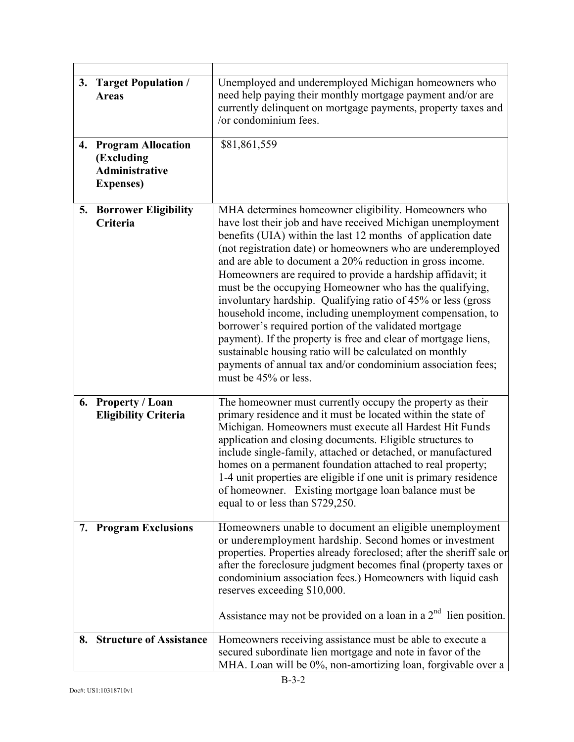| 3. | <b>Target Population /</b><br><b>Areas</b>                                            | Unemployed and underemployed Michigan homeowners who<br>need help paying their monthly mortgage payment and/or are<br>currently delinquent on mortgage payments, property taxes and<br>/or condominium fees.                                                                                                                                                                                                                                                                                                                                                                                                                                                                                                                                                                                                                                        |
|----|---------------------------------------------------------------------------------------|-----------------------------------------------------------------------------------------------------------------------------------------------------------------------------------------------------------------------------------------------------------------------------------------------------------------------------------------------------------------------------------------------------------------------------------------------------------------------------------------------------------------------------------------------------------------------------------------------------------------------------------------------------------------------------------------------------------------------------------------------------------------------------------------------------------------------------------------------------|
| 4. | <b>Program Allocation</b><br>(Excluding<br><b>Administrative</b><br><b>Expenses</b> ) | \$81,861,559                                                                                                                                                                                                                                                                                                                                                                                                                                                                                                                                                                                                                                                                                                                                                                                                                                        |
|    | <b>5. Borrower Eligibility</b><br>Criteria                                            | MHA determines homeowner eligibility. Homeowners who<br>have lost their job and have received Michigan unemployment<br>benefits (UIA) within the last 12 months of application date<br>(not registration date) or homeowners who are underemployed<br>and are able to document a 20% reduction in gross income.<br>Homeowners are required to provide a hardship affidavit; it<br>must be the occupying Homeowner who has the qualifying,<br>involuntary hardship. Qualifying ratio of 45% or less (gross<br>household income, including unemployment compensation, to<br>borrower's required portion of the validated mortgage<br>payment). If the property is free and clear of mortgage liens,<br>sustainable housing ratio will be calculated on monthly<br>payments of annual tax and/or condominium association fees;<br>must be 45% or less. |
|    | 6. Property / Loan<br><b>Eligibility Criteria</b>                                     | The homeowner must currently occupy the property as their<br>primary residence and it must be located within the state of<br>Michigan. Homeowners must execute all Hardest Hit Funds<br>application and closing documents. Eligible structures to<br>include single-family, attached or detached, or manufactured<br>homes on a permanent foundation attached to real property;<br>1-4 unit properties are eligible if one unit is primary residence<br>of homeowner. Existing mortgage loan balance must be<br>equal to or less than \$729,250.                                                                                                                                                                                                                                                                                                    |
|    | 7. Program Exclusions                                                                 | Homeowners unable to document an eligible unemployment<br>or underemployment hardship. Second homes or investment<br>properties. Properties already foreclosed; after the sheriff sale or<br>after the foreclosure judgment becomes final (property taxes or<br>condominium association fees.) Homeowners with liquid cash<br>reserves exceeding \$10,000.<br>Assistance may not be provided on a loan in a $2nd$ lien position.                                                                                                                                                                                                                                                                                                                                                                                                                    |
|    | 8. Structure of Assistance                                                            | Homeowners receiving assistance must be able to execute a<br>secured subordinate lien mortgage and note in favor of the<br>MHA. Loan will be 0%, non-amortizing loan, forgivable over a                                                                                                                                                                                                                                                                                                                                                                                                                                                                                                                                                                                                                                                             |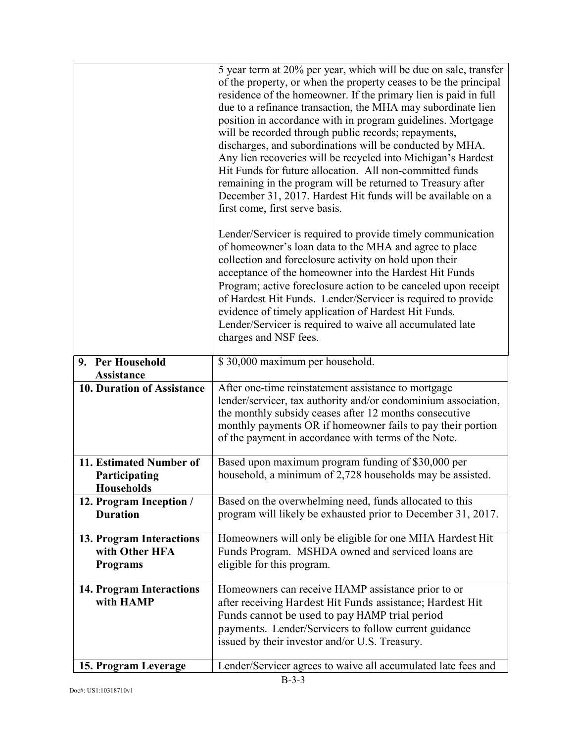|                                                               | 5 year term at 20% per year, which will be due on sale, transfer<br>of the property, or when the property ceases to be the principal<br>residence of the homeowner. If the primary lien is paid in full<br>due to a refinance transaction, the MHA may subordinate lien<br>position in accordance with in program guidelines. Mortgage<br>will be recorded through public records; repayments,<br>discharges, and subordinations will be conducted by MHA.<br>Any lien recoveries will be recycled into Michigan's Hardest<br>Hit Funds for future allocation. All non-committed funds<br>remaining in the program will be returned to Treasury after<br>December 31, 2017. Hardest Hit funds will be available on a<br>first come, first serve basis. |
|---------------------------------------------------------------|--------------------------------------------------------------------------------------------------------------------------------------------------------------------------------------------------------------------------------------------------------------------------------------------------------------------------------------------------------------------------------------------------------------------------------------------------------------------------------------------------------------------------------------------------------------------------------------------------------------------------------------------------------------------------------------------------------------------------------------------------------|
|                                                               | Lender/Servicer is required to provide timely communication<br>of homeowner's loan data to the MHA and agree to place<br>collection and foreclosure activity on hold upon their<br>acceptance of the homeowner into the Hardest Hit Funds<br>Program; active foreclosure action to be canceled upon receipt<br>of Hardest Hit Funds. Lender/Servicer is required to provide<br>evidence of timely application of Hardest Hit Funds.<br>Lender/Servicer is required to waive all accumulated late<br>charges and NSF fees.                                                                                                                                                                                                                              |
| 9. Per Household<br><b>Assistance</b>                         | \$30,000 maximum per household.                                                                                                                                                                                                                                                                                                                                                                                                                                                                                                                                                                                                                                                                                                                        |
| 10. Duration of Assistance                                    | After one-time reinstatement assistance to mortgage<br>lender/servicer, tax authority and/or condominium association,<br>the monthly subsidy ceases after 12 months consecutive<br>monthly payments OR if homeowner fails to pay their portion<br>of the payment in accordance with terms of the Note.                                                                                                                                                                                                                                                                                                                                                                                                                                                 |
| 11. Estimated Number of<br>Participating<br><b>Households</b> | Based upon maximum program funding of \$30,000 per<br>household, a minimum of 2,728 households may be assisted.                                                                                                                                                                                                                                                                                                                                                                                                                                                                                                                                                                                                                                        |
| 12. Program Inception /<br><b>Duration</b>                    | Based on the overwhelming need, funds allocated to this<br>program will likely be exhausted prior to December 31, 2017.                                                                                                                                                                                                                                                                                                                                                                                                                                                                                                                                                                                                                                |
| 13. Program Interactions<br>with Other HFA<br><b>Programs</b> | Homeowners will only be eligible for one MHA Hardest Hit<br>Funds Program. MSHDA owned and serviced loans are<br>eligible for this program.                                                                                                                                                                                                                                                                                                                                                                                                                                                                                                                                                                                                            |
| <b>14. Program Interactions</b><br>with HAMP                  | Homeowners can receive HAMP assistance prior to or<br>after receiving Hardest Hit Funds assistance; Hardest Hit<br>Funds cannot be used to pay HAMP trial period<br>payments. Lender/Servicers to follow current guidance<br>issued by their investor and/or U.S. Treasury.                                                                                                                                                                                                                                                                                                                                                                                                                                                                            |
| 15. Program Leverage                                          | Lender/Servicer agrees to waive all accumulated late fees and                                                                                                                                                                                                                                                                                                                                                                                                                                                                                                                                                                                                                                                                                          |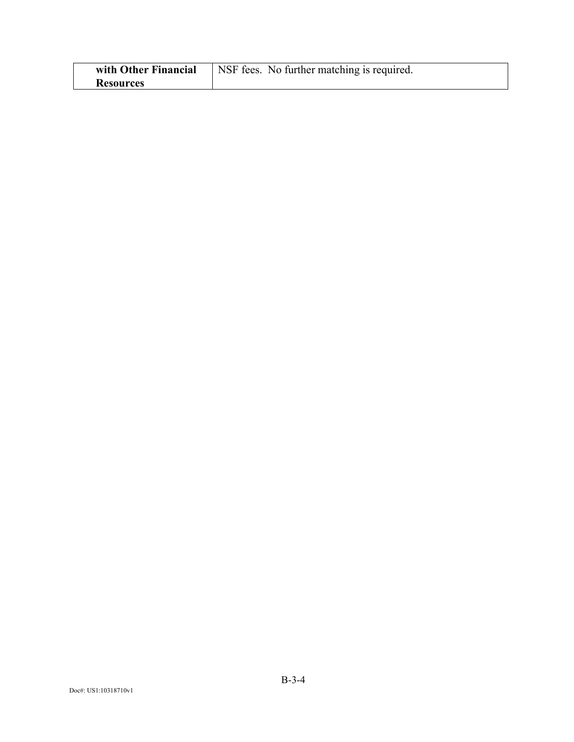| with Other Financial | NSF fees. No further matching is required. |
|----------------------|--------------------------------------------|
| <b>Resources</b>     |                                            |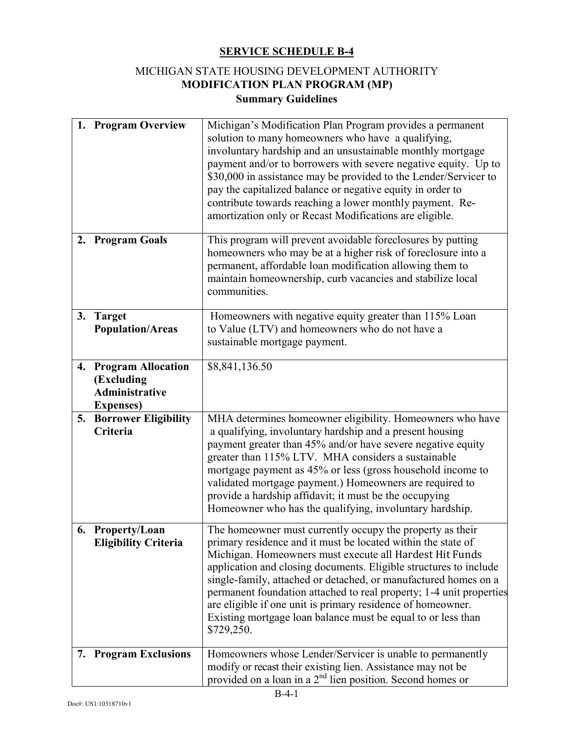## MICHIGAN STATE HOUSING DEVELOPMENT AUTHORITY **MODIFICATION PLAN PROGRAM (MP) Summary Guidelines**

|    | 1. Program Overview                                                               | Michigan's Modification Plan Program provides a permanent<br>solution to many homeowners who have a qualifying,<br>involuntary hardship and an unsustainable monthly mortgage<br>payment and/or to borrowers with severe negative equity. Up to<br>\$30,000 in assistance may be provided to the Lender/Servicer to<br>pay the capitalized balance or negative equity in order to<br>contribute towards reaching a lower monthly payment. Re-<br>amortization only or Recast Modifications are eligible.                                         |
|----|-----------------------------------------------------------------------------------|--------------------------------------------------------------------------------------------------------------------------------------------------------------------------------------------------------------------------------------------------------------------------------------------------------------------------------------------------------------------------------------------------------------------------------------------------------------------------------------------------------------------------------------------------|
|    | 2. Program Goals                                                                  | This program will prevent avoidable foreclosures by putting<br>homeowners who may be at a higher risk of foreclosure into a<br>permanent, affordable loan modification allowing them to<br>maintain homeownership, curb vacancies and stabilize local<br>communities.                                                                                                                                                                                                                                                                            |
|    | 3. Target<br><b>Population/Areas</b>                                              | Homeowners with negative equity greater than 115% Loan<br>to Value (LTV) and homeowners who do not have a<br>sustainable mortgage payment.                                                                                                                                                                                                                                                                                                                                                                                                       |
|    | 4. Program Allocation<br>(Excluding<br><b>Administrative</b><br><b>Expenses</b> ) | \$8,841,136.50                                                                                                                                                                                                                                                                                                                                                                                                                                                                                                                                   |
| 5. | <b>Borrower Eligibility</b><br>Criteria                                           | MHA determines homeowner eligibility. Homeowners who have<br>a qualifying, involuntary hardship and a present housing<br>payment greater than 45% and/or have severe negative equity<br>greater than 115% LTV. MHA considers a sustainable<br>mortgage payment as 45% or less (gross household income to<br>validated mortgage payment.) Homeowners are required to<br>provide a hardship affidavit; it must be the occupying<br>Homeowner who has the qualifying, involuntary hardship.                                                         |
|    | 6. Property/Loan<br><b>Eligibility Criteria</b>                                   | The homeowner must currently occupy the property as their<br>primary residence and it must be located within the state of<br>Michigan. Homeowners must execute all Hardest Hit Funds<br>application and closing documents. Eligible structures to include<br>single-family, attached or detached, or manufactured homes on a<br>permanent foundation attached to real property; 1-4 unit properties<br>are eligible if one unit is primary residence of homeowner.<br>Existing mortgage loan balance must be equal to or less than<br>\$729,250. |
| 7. | <b>Program Exclusions</b>                                                         | Homeowners whose Lender/Servicer is unable to permanently<br>modify or recast their existing lien. Assistance may not be<br>provided on a loan in a $2nd$ lien position. Second homes or                                                                                                                                                                                                                                                                                                                                                         |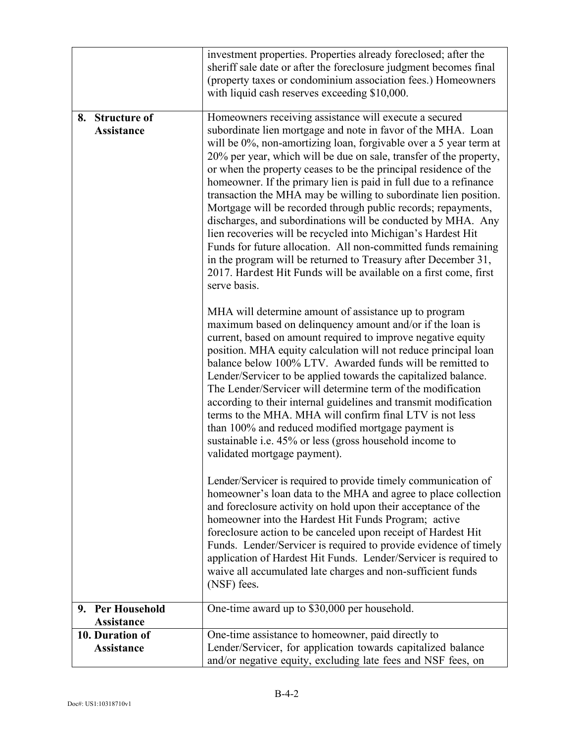|                                                | investment properties. Properties already foreclosed; after the<br>sheriff sale date or after the foreclosure judgment becomes final<br>(property taxes or condominium association fees.) Homeowners<br>with liquid cash reserves exceeding \$10,000.                                                                                                                                                                                                                                                                                                                                                                                                                                                                                                                                                                                                                                                   |
|------------------------------------------------|---------------------------------------------------------------------------------------------------------------------------------------------------------------------------------------------------------------------------------------------------------------------------------------------------------------------------------------------------------------------------------------------------------------------------------------------------------------------------------------------------------------------------------------------------------------------------------------------------------------------------------------------------------------------------------------------------------------------------------------------------------------------------------------------------------------------------------------------------------------------------------------------------------|
| <b>Structure of</b><br>8.<br><b>Assistance</b> | Homeowners receiving assistance will execute a secured<br>subordinate lien mortgage and note in favor of the MHA. Loan<br>will be 0%, non-amortizing loan, forgivable over a 5 year term at<br>20% per year, which will be due on sale, transfer of the property,<br>or when the property ceases to be the principal residence of the<br>homeowner. If the primary lien is paid in full due to a refinance<br>transaction the MHA may be willing to subordinate lien position.<br>Mortgage will be recorded through public records; repayments,<br>discharges, and subordinations will be conducted by MHA. Any<br>lien recoveries will be recycled into Michigan's Hardest Hit<br>Funds for future allocation. All non-committed funds remaining<br>in the program will be returned to Treasury after December 31,<br>2017. Hardest Hit Funds will be available on a first come, first<br>serve basis. |
|                                                | MHA will determine amount of assistance up to program<br>maximum based on delinquency amount and/or if the loan is<br>current, based on amount required to improve negative equity<br>position. MHA equity calculation will not reduce principal loan<br>balance below 100% LTV. Awarded funds will be remitted to<br>Lender/Servicer to be applied towards the capitalized balance.<br>The Lender/Servicer will determine term of the modification<br>according to their internal guidelines and transmit modification<br>terms to the MHA. MHA will confirm final LTV is not less<br>than 100% and reduced modified mortgage payment is<br>sustainable i.e. 45% or less (gross household income to<br>validated mortgage payment).                                                                                                                                                                    |
|                                                | Lender/Servicer is required to provide timely communication of<br>homeowner's loan data to the MHA and agree to place collection<br>and foreclosure activity on hold upon their acceptance of the<br>homeowner into the Hardest Hit Funds Program; active<br>foreclosure action to be canceled upon receipt of Hardest Hit<br>Funds. Lender/Servicer is required to provide evidence of timely<br>application of Hardest Hit Funds. Lender/Servicer is required to<br>waive all accumulated late charges and non-sufficient funds<br>(NSF) fees.                                                                                                                                                                                                                                                                                                                                                        |
| 9. Per Household<br>Assistance                 | One-time award up to \$30,000 per household.                                                                                                                                                                                                                                                                                                                                                                                                                                                                                                                                                                                                                                                                                                                                                                                                                                                            |
| 10. Duration of<br>Assistance                  | One-time assistance to homeowner, paid directly to<br>Lender/Servicer, for application towards capitalized balance<br>and/or negative equity, excluding late fees and NSF fees, on                                                                                                                                                                                                                                                                                                                                                                                                                                                                                                                                                                                                                                                                                                                      |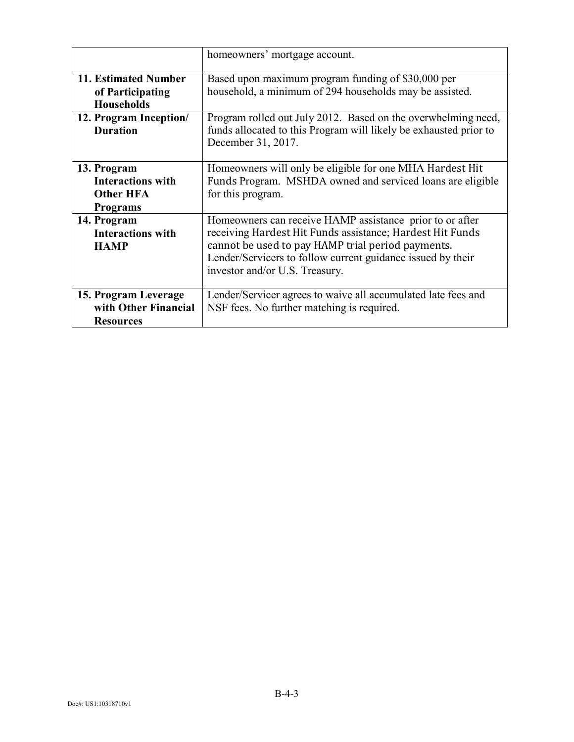|                                                                                | homeowners' mortgage account.                                                                                                                                                                                                                                               |  |
|--------------------------------------------------------------------------------|-----------------------------------------------------------------------------------------------------------------------------------------------------------------------------------------------------------------------------------------------------------------------------|--|
| 11. Estimated Number<br>of Participating<br><b>Households</b>                  | Based upon maximum program funding of \$30,000 per<br>household, a minimum of 294 households may be assisted.                                                                                                                                                               |  |
| 12. Program Inception/<br><b>Duration</b>                                      | Program rolled out July 2012. Based on the overwhelming need,<br>funds allocated to this Program will likely be exhausted prior to<br>December 31, 2017.                                                                                                                    |  |
| 13. Program<br><b>Interactions with</b><br><b>Other HFA</b><br><b>Programs</b> | Homeowners will only be eligible for one MHA Hardest Hit<br>Funds Program. MSHDA owned and serviced loans are eligible<br>for this program.                                                                                                                                 |  |
| 14. Program<br><b>Interactions with</b><br><b>HAMP</b>                         | Homeowners can receive HAMP assistance prior to or after<br>receiving Hardest Hit Funds assistance; Hardest Hit Funds<br>cannot be used to pay HAMP trial period payments.<br>Lender/Servicers to follow current guidance issued by their<br>investor and/or U.S. Treasury. |  |
| 15. Program Leverage<br>with Other Financial<br><b>Resources</b>               | Lender/Servicer agrees to waive all accumulated late fees and<br>NSF fees. No further matching is required.                                                                                                                                                                 |  |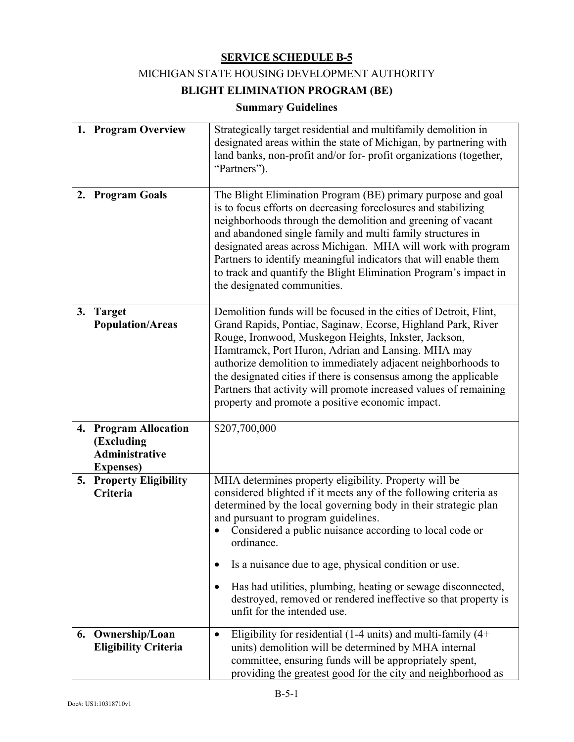#### MICHIGAN STATE HOUSING DEVELOPMENT AUTHORITY

# **BLIGHT ELIMINATION PROGRAM (BE)**

## **Summary Guidelines**

|    | 1. Program Overview                                                               | Strategically target residential and multifamily demolition in<br>designated areas within the state of Michigan, by partnering with<br>land banks, non-profit and/or for-profit organizations (together,<br>"Partners").                                                                                                                                                                                                                                                                                                |
|----|-----------------------------------------------------------------------------------|-------------------------------------------------------------------------------------------------------------------------------------------------------------------------------------------------------------------------------------------------------------------------------------------------------------------------------------------------------------------------------------------------------------------------------------------------------------------------------------------------------------------------|
| 2. | <b>Program Goals</b>                                                              | The Blight Elimination Program (BE) primary purpose and goal<br>is to focus efforts on decreasing foreclosures and stabilizing<br>neighborhoods through the demolition and greening of vacant<br>and abandoned single family and multi family structures in<br>designated areas across Michigan. MHA will work with program<br>Partners to identify meaningful indicators that will enable them<br>to track and quantify the Blight Elimination Program's impact in<br>the designated communities.                      |
|    | 3. Target<br><b>Population/Areas</b>                                              | Demolition funds will be focused in the cities of Detroit, Flint,<br>Grand Rapids, Pontiac, Saginaw, Ecorse, Highland Park, River<br>Rouge, Ironwood, Muskegon Heights, Inkster, Jackson,<br>Hamtramck, Port Huron, Adrian and Lansing. MHA may<br>authorize demolition to immediately adjacent neighborhoods to<br>the designated cities if there is consensus among the applicable<br>Partners that activity will promote increased values of remaining<br>property and promote a positive economic impact.           |
|    | 4. Program Allocation<br>(Excluding<br><b>Administrative</b><br><b>Expenses</b> ) | \$207,700,000                                                                                                                                                                                                                                                                                                                                                                                                                                                                                                           |
|    | 5. Property Eligibility<br>Criteria                                               | MHA determines property eligibility. Property will be<br>considered blighted if it meets any of the following criteria as<br>determined by the local governing body in their strategic plan<br>and pursuant to program guidelines.<br>Considered a public nuisance according to local code or<br>ordinance.<br>Is a nuisance due to age, physical condition or use.<br>٠<br>Has had utilities, plumbing, heating or sewage disconnected,<br>$\bullet$<br>destroyed, removed or rendered ineffective so that property is |
|    |                                                                                   | unfit for the intended use.                                                                                                                                                                                                                                                                                                                                                                                                                                                                                             |
| 6. | Ownership/Loan<br><b>Eligibility Criteria</b>                                     | Eligibility for residential (1-4 units) and multi-family $(4+)$<br>٠<br>units) demolition will be determined by MHA internal<br>committee, ensuring funds will be appropriately spent,<br>providing the greatest good for the city and neighborhood as                                                                                                                                                                                                                                                                  |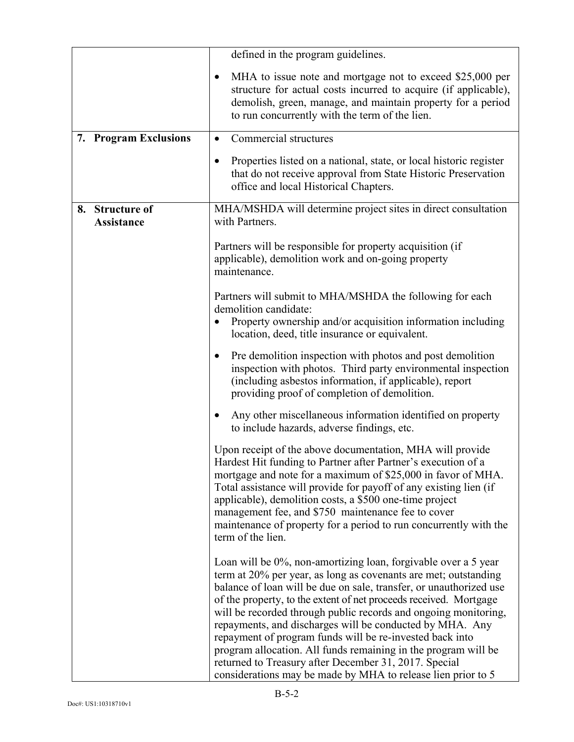|                                         | defined in the program guidelines.                                                                                                                                                                                                                                                                                                                                                                                                                                                                                                                                                                                                                                 |  |
|-----------------------------------------|--------------------------------------------------------------------------------------------------------------------------------------------------------------------------------------------------------------------------------------------------------------------------------------------------------------------------------------------------------------------------------------------------------------------------------------------------------------------------------------------------------------------------------------------------------------------------------------------------------------------------------------------------------------------|--|
|                                         | MHA to issue note and mortgage not to exceed \$25,000 per<br>structure for actual costs incurred to acquire (if applicable),<br>demolish, green, manage, and maintain property for a period<br>to run concurrently with the term of the lien.                                                                                                                                                                                                                                                                                                                                                                                                                      |  |
| 7. Program Exclusions                   | Commercial structures<br>$\bullet$                                                                                                                                                                                                                                                                                                                                                                                                                                                                                                                                                                                                                                 |  |
|                                         | Properties listed on a national, state, or local historic register<br>$\bullet$<br>that do not receive approval from State Historic Preservation<br>office and local Historical Chapters.                                                                                                                                                                                                                                                                                                                                                                                                                                                                          |  |
| <b>Structure of</b><br>8.<br>Assistance | MHA/MSHDA will determine project sites in direct consultation<br>with Partners.                                                                                                                                                                                                                                                                                                                                                                                                                                                                                                                                                                                    |  |
|                                         | Partners will be responsible for property acquisition (if<br>applicable), demolition work and on-going property<br>maintenance.                                                                                                                                                                                                                                                                                                                                                                                                                                                                                                                                    |  |
|                                         | Partners will submit to MHA/MSHDA the following for each<br>demolition candidate:<br>Property ownership and/or acquisition information including<br>location, deed, title insurance or equivalent.                                                                                                                                                                                                                                                                                                                                                                                                                                                                 |  |
|                                         | Pre demolition inspection with photos and post demolition<br>$\bullet$<br>inspection with photos. Third party environmental inspection<br>(including asbestos information, if applicable), report<br>providing proof of completion of demolition.                                                                                                                                                                                                                                                                                                                                                                                                                  |  |
|                                         | Any other miscellaneous information identified on property<br>to include hazards, adverse findings, etc.                                                                                                                                                                                                                                                                                                                                                                                                                                                                                                                                                           |  |
|                                         | Upon receipt of the above documentation, MHA will provide<br>Hardest Hit funding to Partner after Partner's execution of a<br>mortgage and note for a maximum of \$25,000 in favor of MHA.<br>Total assistance will provide for payoff of any existing lien (if<br>applicable), demolition costs, a \$500 one-time project<br>management fee, and \$750 maintenance fee to cover<br>maintenance of property for a period to run concurrently with the<br>term of the lien.                                                                                                                                                                                         |  |
|                                         | Loan will be 0%, non-amortizing loan, forgivable over a 5 year<br>term at 20% per year, as long as covenants are met; outstanding<br>balance of loan will be due on sale, transfer, or unauthorized use<br>of the property, to the extent of net proceeds received. Mortgage<br>will be recorded through public records and ongoing monitoring,<br>repayments, and discharges will be conducted by MHA. Any<br>repayment of program funds will be re-invested back into<br>program allocation. All funds remaining in the program will be<br>returned to Treasury after December 31, 2017. Special<br>considerations may be made by MHA to release lien prior to 5 |  |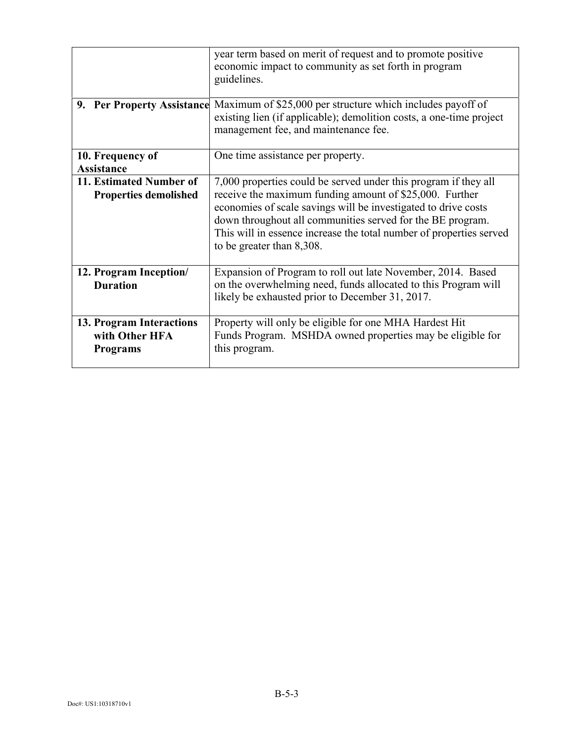|                                                               | year term based on merit of request and to promote positive<br>economic impact to community as set forth in program<br>guidelines.                                                                                                                                                                                                                             |
|---------------------------------------------------------------|----------------------------------------------------------------------------------------------------------------------------------------------------------------------------------------------------------------------------------------------------------------------------------------------------------------------------------------------------------------|
|                                                               | <b>9. Per Property Assistance</b> Maximum of \$25,000 per structure which includes payoff of<br>existing lien (if applicable); demolition costs, a one-time project<br>management fee, and maintenance fee.                                                                                                                                                    |
| 10. Frequency of<br><b>Assistance</b>                         | One time assistance per property.                                                                                                                                                                                                                                                                                                                              |
| 11. Estimated Number of<br><b>Properties demolished</b>       | 7,000 properties could be served under this program if they all<br>receive the maximum funding amount of \$25,000. Further<br>economies of scale savings will be investigated to drive costs<br>down throughout all communities served for the BE program.<br>This will in essence increase the total number of properties served<br>to be greater than 8,308. |
| 12. Program Inception/<br><b>Duration</b>                     | Expansion of Program to roll out late November, 2014. Based<br>on the overwhelming need, funds allocated to this Program will<br>likely be exhausted prior to December 31, 2017.                                                                                                                                                                               |
| 13. Program Interactions<br>with Other HFA<br><b>Programs</b> | Property will only be eligible for one MHA Hardest Hit<br>Funds Program. MSHDA owned properties may be eligible for<br>this program.                                                                                                                                                                                                                           |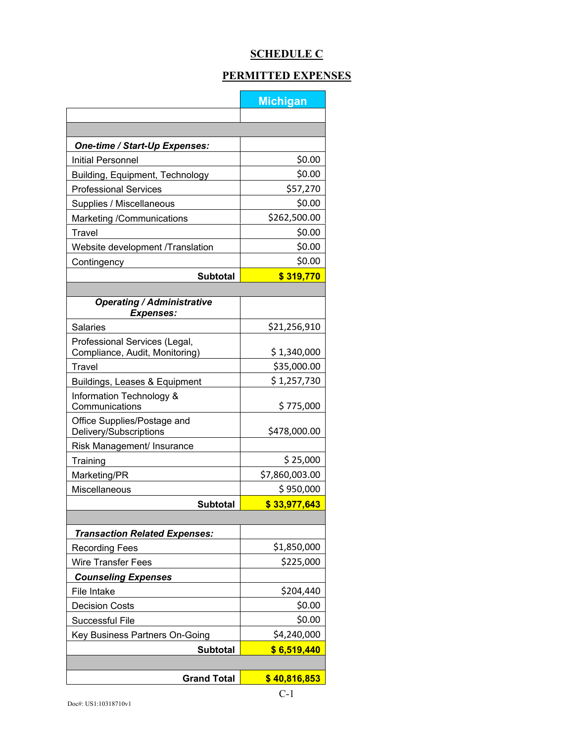# **SCHEDULE C**

# **PERMITTED EXPENSES**

|                                                                 | <b>Michigan</b> |  |
|-----------------------------------------------------------------|-----------------|--|
|                                                                 |                 |  |
|                                                                 |                 |  |
| One-time / Start-Up Expenses:                                   |                 |  |
| Initial Personnel                                               | \$0.00          |  |
| Building, Equipment, Technology                                 | \$0.00          |  |
| <b>Professional Services</b>                                    | \$57,270        |  |
| Supplies / Miscellaneous                                        | \$0.00          |  |
| Marketing /Communications                                       | \$262,500.00    |  |
| Travel                                                          | \$0.00          |  |
| Website development /Translation                                | \$0.00          |  |
| Contingency                                                     | \$0.00          |  |
| <b>Subtotal</b>                                                 | \$319,770       |  |
|                                                                 |                 |  |
| <b>Operating / Administrative</b><br><b>Expenses:</b>           |                 |  |
| <b>Salaries</b>                                                 | \$21,256,910    |  |
| Professional Services (Legal,<br>Compliance, Audit, Monitoring) | \$1,340,000     |  |
| <b>Travel</b>                                                   | \$35,000.00     |  |
| Buildings, Leases & Equipment                                   | \$1,257,730     |  |
| Information Technology &<br>Communications                      | \$775,000       |  |
| Office Supplies/Postage and<br>Delivery/Subscriptions           | \$478,000.00    |  |
| Risk Management/ Insurance                                      |                 |  |
| Training                                                        | \$25,000        |  |
| Marketing/PR                                                    | \$7,860,003.00  |  |
| Miscellaneous                                                   | \$950,000       |  |
| <b>Subtotal</b>                                                 | \$33,977,643    |  |
|                                                                 |                 |  |
| <b>Transaction Related Expenses:</b>                            |                 |  |
| <b>Recording Fees</b>                                           | \$1,850,000     |  |
| <b>Wire Transfer Fees</b>                                       | \$225,000       |  |
| <b>Counseling Expenses</b>                                      |                 |  |
| File Intake                                                     | \$204,440       |  |
| <b>Decision Costs</b>                                           | \$0.00          |  |
| Successful File                                                 | \$0.00          |  |
| Key Business Partners On-Going                                  | \$4,240,000     |  |
| \$6,519,440<br><b>Subtotal</b>                                  |                 |  |
|                                                                 |                 |  |
| <b>Grand Total</b>                                              | \$40,816,853    |  |